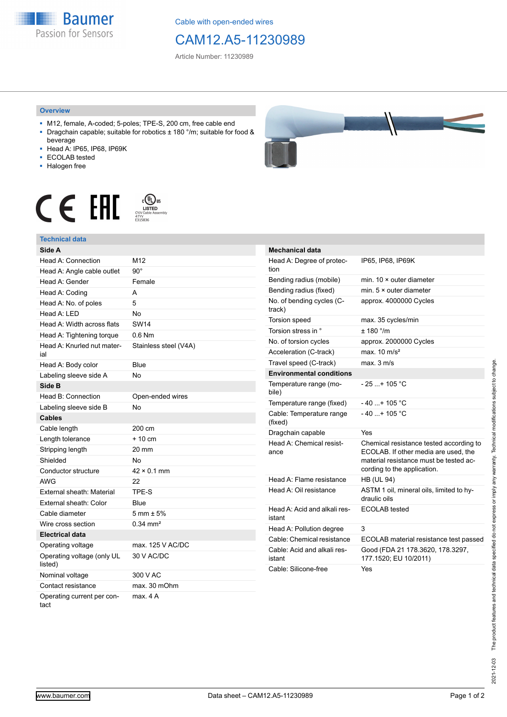**Baumer** Passion for Sensors

Cable with open-ended wires

## CAM12.A5-11230989

Article Number: 11230989

## **Overview**

- M12, female, A-coded; 5-poles; TPE-S, 200 cm, free cable end ■ Dragchain capable; suitable for robotics ± 180 °/m; suitable for food &
- beverage ■ Head A: IP65, IP68, IP69K
- ECOLAB tested
- Halogen free
- 



## **Technical data**

| Side A                                |                        |
|---------------------------------------|------------------------|
| Head A: Connection                    | M <sub>12</sub>        |
| Head A: Angle cable outlet            | $90^{\circ}$           |
| Head A: Gender                        | Female                 |
| Head A: Coding                        | A                      |
| Head A: No. of poles                  | 5                      |
| Head A: LED                           | No                     |
| Head A: Width across flats            | <b>SW14</b>            |
| Head A: Tightening torque             | $0.6$ Nm               |
| Head A: Knurled nut mater-<br>ial     | Stainless steel (V4A)  |
| Head A: Body color                    | Blue                   |
| Labeling sleeve side A                | <b>No</b>              |
| Side B                                |                        |
| Head B: Connection                    | Open-ended wires       |
| Labeling sleeve side B                | <b>No</b>              |
| <b>Cables</b>                         |                        |
| Cable length                          | 200 cm                 |
| Length tolerance                      | $+10$ cm               |
| Stripping length                      | 20 mm                  |
| Shielded                              | No                     |
| Conductor structure                   | $42 \times 0.1$ mm     |
| AWG                                   | 22                     |
| External sheath: Material             | TPE-S                  |
| External sheath: Color                | Blue                   |
| Cable diameter                        | $5 \text{ mm} \pm 5\%$ |
| Wire cross section                    | $0.34$ mm <sup>2</sup> |
| <b>Electrical data</b>                |                        |
| Operating voltage                     | max, 125 V AC/DC       |
| Operating voltage (only UL<br>listed) | 30 V AC/DC             |
| Nominal voltage                       | 300 V AC               |
| Contact resistance                    | max. 30 mOhm           |
| Operating current per con-<br>tact    | max. 4A                |

| <b>Mechanical data</b>                 |                                                                                                                                                          |  |
|----------------------------------------|----------------------------------------------------------------------------------------------------------------------------------------------------------|--|
| Head A: Degree of protec-<br>tion      | IP65, IP68, IP69K                                                                                                                                        |  |
| Bending radius (mobile)                | min. $10 \times$ outer diameter                                                                                                                          |  |
| Bending radius (fixed)                 | min. $5 \times$ outer diameter                                                                                                                           |  |
| No. of bending cycles (C-<br>track)    | approx. 4000000 Cycles                                                                                                                                   |  |
| <b>Torsion speed</b>                   | max. 35 cycles/min                                                                                                                                       |  |
| Torsion stress in °                    | ± 180 °/m                                                                                                                                                |  |
| No. of torsion cycles                  | approx. 2000000 Cycles                                                                                                                                   |  |
| Acceleration (C-track)                 | max. $10 \text{ m/s}^2$                                                                                                                                  |  |
| Travel speed (C-track)                 | max. 3 m/s                                                                                                                                               |  |
| <b>Environmental conditions</b>        |                                                                                                                                                          |  |
| Temperature range (mo-<br>bile)        | $-25$ + 105 °C                                                                                                                                           |  |
| Temperature range (fixed)              | $-40+105 °C$                                                                                                                                             |  |
| Cable: Temperature range<br>(fixed)    | $-40+105 °C$                                                                                                                                             |  |
| Dragchain capable                      | Yes                                                                                                                                                      |  |
| Head A: Chemical resist-<br>ance       | Chemical resistance tested according to<br>ECOLAB. If other media are used, the<br>material resistance must be tested ac-<br>cording to the application. |  |
| Head A: Flame resistance               | <b>HB (UL 94)</b>                                                                                                                                        |  |
| Head A: Oil resistance                 | ASTM 1 oil, mineral oils, limited to hy-<br>draulic oils                                                                                                 |  |
| Head A: Acid and alkali res-<br>istant | ECOLAB tested                                                                                                                                            |  |
| Head A: Pollution degree               | 3                                                                                                                                                        |  |
| Cable: Chemical resistance             | ECOLAB material resistance test passed                                                                                                                   |  |
| Cable: Acid and alkali res-<br>istant  | Good (FDA 21 178.3620, 178.3297,<br>177.1520; EU 10/2011)                                                                                                |  |
| Cable: Silicone-free                   | Yes                                                                                                                                                      |  |